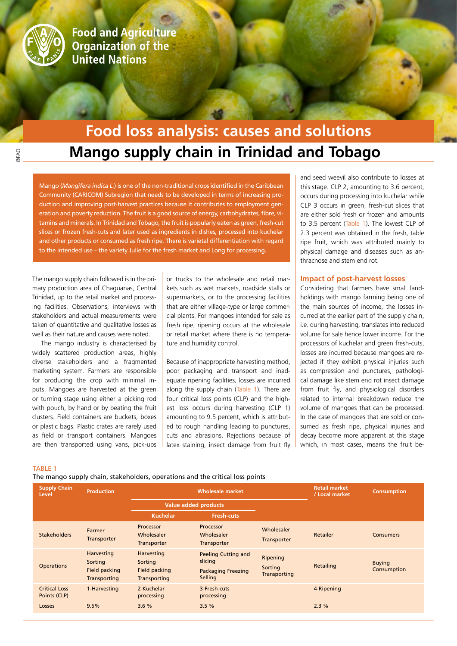

**Food and Agriculture Organization of the United Nations** 

# **Mango supply chain in Trinidad and Tobago Food loss analysis: causes and solutions**

Mango (*Mangifera indica L.*) is one of the non-traditional crops identified in the Caribbean Community (CARICOM) Subregion that needs to be developed in terms of increasing production and improving post-harvest practices because it contributes to employment generation and poverty reduction. The fruit is a good source of energy, carbohydrates, fibre, vitamins and minerals. In Trinidad and Tobago, the fruit is popularly eaten as green, fresh-cut slices or frozen fresh-cuts and later used as ingredients in dishes, processed into kuchelar and other products or consumed as fresh ripe. There is varietal differentiation with regard to the intended use – the variety Julie for the fresh market and Long for processing.

The mango supply chain followed is in the primary production area of Chaguanas, Central Trinidad, up to the retail market and processing facilities. Observations, interviews with stakeholders and actual measurements were taken of quantitative and qualitative losses as well as their nature and causes were noted.

The mango industry is characterised by widely scattered production areas, highly diverse stakeholders and a fragmented marketing system. Farmers are responsible for producing the crop with minimal inputs. Mangoes are harvested at the green or turning stage using either a picking rod with pouch, by hand or by beating the fruit clusters. Field containers are buckets, boxes or plastic bags. Plastic crates are rarely used as field or transport containers. Mangoes are then transported using vans, pick-ups

or trucks to the wholesale and retail markets such as wet markets, roadside stalls or supermarkets, or to the processing facilities that are either village-type or large commercial plants. For mangoes intended for sale as fresh ripe, ripening occurs at the wholesale or retail market where there is no temperature and humidity control.

Because of inappropriate harvesting method, poor packaging and transport and inadequate ripening facilities, losses are incurred along the supply chain (Table 1). There are four critical loss points (CLP) and the highest loss occurs during harvesting (CLP 1) amounting to 9.5 percent, which is attributed to rough handling leading to punctures, cuts and abrasions. Rejections because of latex staining, insect damage from fruit fly

and seed weevil also contribute to losses at this stage. CLP 2, amounting to 3.6 percent, occurs during processing into kuchelar while CLP 3 occurs in green, fresh-cut slices that are either sold fresh or frozen and amounts to 3.5 percent (Table 1). The lowest CLP of 2.3 percent was obtained in the fresh, table ripe fruit, which was attributed mainly to physical damage and diseases such as anthracnose and stem end rot.

### **Impact of post-harvest losses**

Considering that farmers have small landholdings with mango farming being one of the main sources of income, the losses incurred at the earlier part of the supply chain, i.e. during harvesting, translates into reduced volume for sale hence lower income. For the processors of kuchelar and green fresh-cuts, losses are incurred because mangoes are rejected if they exhibit physical injuries such as compression and punctures, pathological damage like stem end rot insect damage from fruit fly, and physiological disorders related to internal breakdown reduce the volume of mangoes that can be processed. In the case of mangoes that are sold or consumed as fresh ripe, physical injuries and decay become more apparent at this stage which, in most cases, means the fruit be-

#### TABLE 1

The mango supply chain, stakeholders, operations and the critical loss points

| <b>Supply Chain</b><br>Level         | <b>Production</b>                                      | <b>Wholesale market</b>                                       |                                                                               |                                     | <b>Retail market</b><br>/ Local market | <b>Consumption</b>           |
|--------------------------------------|--------------------------------------------------------|---------------------------------------------------------------|-------------------------------------------------------------------------------|-------------------------------------|----------------------------------------|------------------------------|
|                                      |                                                        | <b>Value added products</b>                                   |                                                                               |                                     |                                        |                              |
|                                      |                                                        | <b>Kuchelar</b>                                               | <b>Fresh-cuts</b>                                                             |                                     |                                        |                              |
| <b>Stakeholders</b>                  | Farmer<br>Transporter                                  | Processor<br>Wholesaler<br><b>Transporter</b>                 | Processor<br>Wholesaler<br><b>Transporter</b>                                 | Wholesaler<br>Transporter           | Retailer                               | <b>Consumers</b>             |
| <b>Operations</b>                    | Harvesting<br>Sorting<br>Field packing<br>Transporting | Harvesting<br>Sorting<br><b>Field packing</b><br>Transporting | <b>Peeling Cutting and</b><br>slicing<br><b>Packaging Freezing</b><br>Selling | Ripening<br>Sorting<br>Transporting | Retailing                              | <b>Buying</b><br>Consumption |
| <b>Critical Loss</b><br>Points (CLP) | 1-Harvesting                                           | 2-Kuchelar<br>processing                                      | 3-Fresh-cuts<br>processing                                                    |                                     | 4-Ripening                             |                              |
| Losses                               | 9.5%                                                   | 3.6%                                                          | 3.5%                                                                          |                                     | 2.3%                                   |                              |